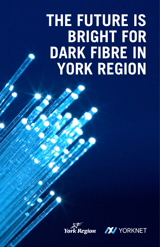# **THE FUTURE IS BRIGHT FOR DARK FIBRE IN YORK REGION**



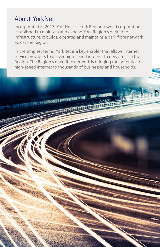# About YorkNet

THE REAL PROPERTY OF PERSONS ASSESSED.

Incorporated in 2017, YorkNet is a York Region-owned corporation established to maintain and expand York Region's dark fibre infrastructure. It builds, operates and maintains a dark fibre network across the Region.

In the simplest terms, YorkNet is a key enabler that allows internet service providers to deliver high-speed internet to new areas in the Region. The Region's dark fibre network is bringing the potential for high-speed internet to thousands of businesses and households.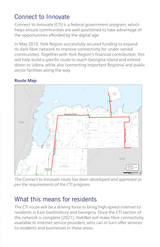# Connect to Innovate

Connect to Innovate (CTI) is a federal government program, which helps ensure communities are well-positioned to take advantage of the opportunities afforded by the digital age.

In May 2019, York Region successfully secured funding to expand its dark fibre network to improve connectivity for under-served communities. Together with York Region's financial contribution, this will help build a specific route to reach Georgina Island and extend down to Udora, while also connecting important Regional and public sector facilities along the way.

## **Route Map**



*The Connect to Innovate route has been developed and approved as per the requirements of the CTI program.*

# What this means for residents

The CTI route will be a driving force to bring high-speed internet to residents in East Gwillimbury and Georgina. Once the CTI section of the network is complete (2021), YorkNet will make fibre connectivity available to internet service providers, who can in turn offer services to residents and businesses in these areas.